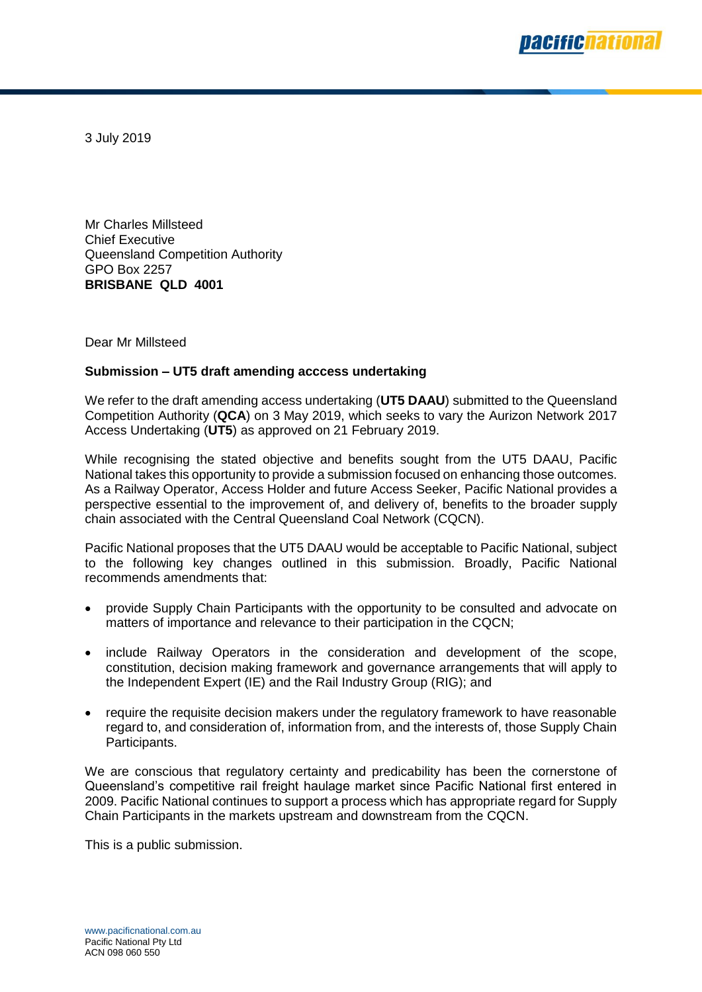

3 July 2019

Mr Charles Millsteed Chief Executive Queensland Competition Authority GPO Box 2257 **BRISBANE QLD 4001**

Dear Mr Millsteed

#### **Submission – UT5 draft amending acccess undertaking**

We refer to the draft amending access undertaking (**UT5 DAAU**) submitted to the Queensland Competition Authority (**QCA**) on 3 May 2019, which seeks to vary the Aurizon Network 2017 Access Undertaking (**UT5**) as approved on 21 February 2019.

While recognising the stated objective and benefits sought from the UT5 DAAU, Pacific National takes this opportunity to provide a submission focused on enhancing those outcomes. As a Railway Operator, Access Holder and future Access Seeker, Pacific National provides a perspective essential to the improvement of, and delivery of, benefits to the broader supply chain associated with the Central Queensland Coal Network (CQCN).

Pacific National proposes that the UT5 DAAU would be acceptable to Pacific National, subject to the following key changes outlined in this submission. Broadly, Pacific National recommends amendments that:

- provide Supply Chain Participants with the opportunity to be consulted and advocate on matters of importance and relevance to their participation in the CQCN;
- include Railway Operators in the consideration and development of the scope, constitution, decision making framework and governance arrangements that will apply to the Independent Expert (IE) and the Rail Industry Group (RIG); and
- require the requisite decision makers under the regulatory framework to have reasonable regard to, and consideration of, information from, and the interests of, those Supply Chain Participants.

We are conscious that regulatory certainty and predicability has been the cornerstone of Queensland's competitive rail freight haulage market since Pacific National first entered in 2009. Pacific National continues to support a process which has appropriate regard for Supply Chain Participants in the markets upstream and downstream from the CQCN.

This is a public submission.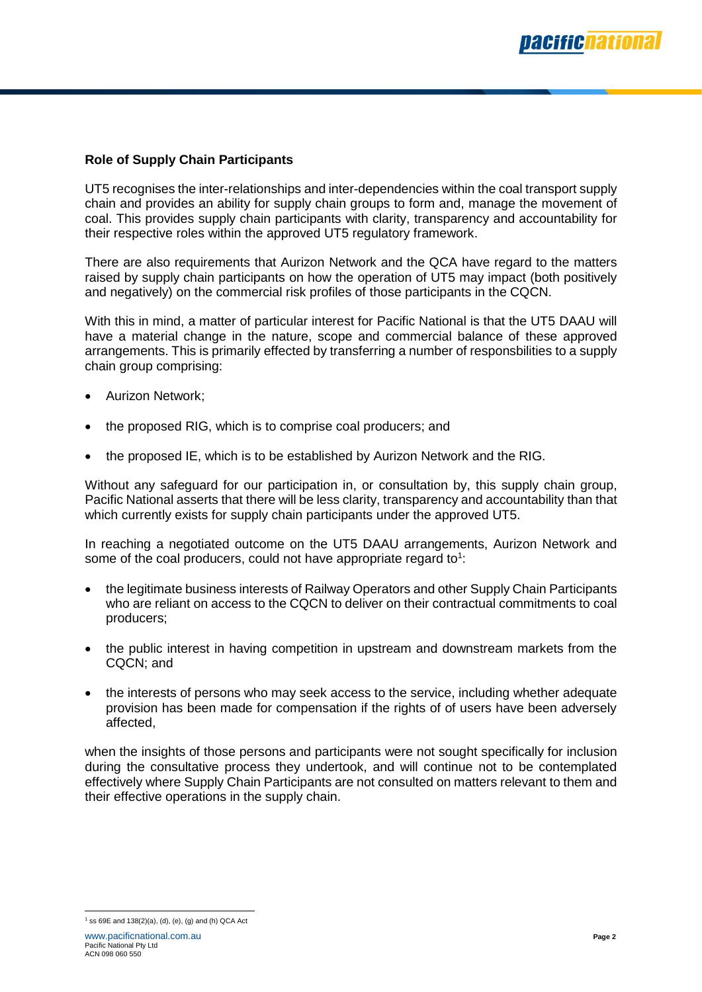## **Role of Supply Chain Participants**

UT5 recognises the inter-relationships and inter-dependencies within the coal transport supply chain and provides an ability for supply chain groups to form and, manage the movement of coal. This provides supply chain participants with clarity, transparency and accountability for their respective roles within the approved UT5 regulatory framework.

There are also requirements that Aurizon Network and the QCA have regard to the matters raised by supply chain participants on how the operation of UT5 may impact (both positively and negatively) on the commercial risk profiles of those participants in the CQCN.

With this in mind, a matter of particular interest for Pacific National is that the UT5 DAAU will have a material change in the nature, scope and commercial balance of these approved arrangements. This is primarily effected by transferring a number of responsbilities to a supply chain group comprising:

- Aurizon Network;
- the proposed RIG, which is to comprise coal producers; and
- the proposed IE, which is to be established by Aurizon Network and the RIG.

Without any safeguard for our participation in, or consultation by, this supply chain group, Pacific National asserts that there will be less clarity, transparency and accountability than that which currently exists for supply chain participants under the approved UT5.

In reaching a negotiated outcome on the UT5 DAAU arrangements, Aurizon Network and some of the coal producers, could not have appropriate regard to<sup>1</sup>:

- the legitimate business interests of Railway Operators and other Supply Chain Participants who are reliant on access to the CQCN to deliver on their contractual commitments to coal producers;
- the public interest in having competition in upstream and downstream markets from the CQCN; and
- the interests of persons who may seek access to the service, including whether adequate provision has been made for compensation if the rights of of users have been adversely affected,

when the insights of those persons and participants were not sought specifically for inclusion during the consultative process they undertook, and will continue not to be contemplated effectively where Supply Chain Participants are not consulted on matters relevant to them and their effective operations in the supply chain.

<sup>1</sup> 1 ss 69E and 138(2)(a), (d), (e), (g) and (h) QCA Act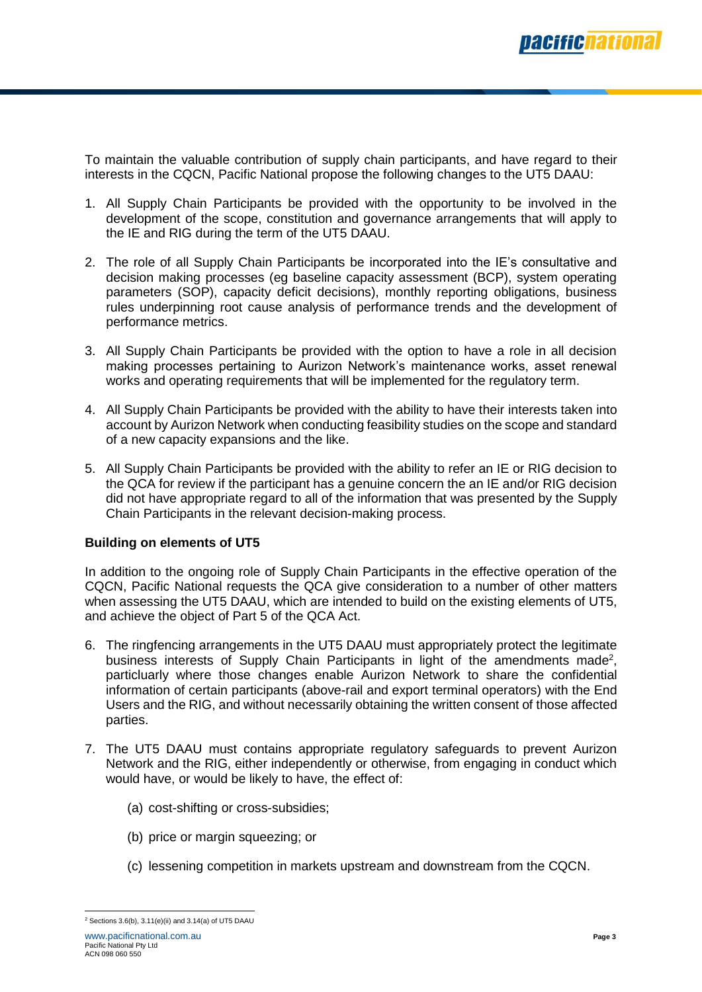

To maintain the valuable contribution of supply chain participants, and have regard to their interests in the CQCN, Pacific National propose the following changes to the UT5 DAAU:

- 1. All Supply Chain Participants be provided with the opportunity to be involved in the development of the scope, constitution and governance arrangements that will apply to the IE and RIG during the term of the UT5 DAAU.
- 2. The role of all Supply Chain Participants be incorporated into the IE's consultative and decision making processes (eg baseline capacity assessment (BCP), system operating parameters (SOP), capacity deficit decisions), monthly reporting obligations, business rules underpinning root cause analysis of performance trends and the development of performance metrics.
- 3. All Supply Chain Participants be provided with the option to have a role in all decision making processes pertaining to Aurizon Network's maintenance works, asset renewal works and operating requirements that will be implemented for the regulatory term.
- 4. All Supply Chain Participants be provided with the ability to have their interests taken into account by Aurizon Network when conducting feasibility studies on the scope and standard of a new capacity expansions and the like.
- 5. All Supply Chain Participants be provided with the ability to refer an IE or RIG decision to the QCA for review if the participant has a genuine concern the an IE and/or RIG decision did not have appropriate regard to all of the information that was presented by the Supply Chain Participants in the relevant decision-making process.

### **Building on elements of UT5**

In addition to the ongoing role of Supply Chain Participants in the effective operation of the CQCN, Pacific National requests the QCA give consideration to a number of other matters when assessing the UT5 DAAU, which are intended to build on the existing elements of UT5, and achieve the object of Part 5 of the QCA Act.

- 6. The ringfencing arrangements in the UT5 DAAU must appropriately protect the legitimate business interests of Supply Chain Participants in light of the amendments made<sup>2</sup>, particluarly where those changes enable Aurizon Network to share the confidential information of certain participants (above-rail and export terminal operators) with the End Users and the RIG, and without necessarily obtaining the written consent of those affected parties.
- 7. The UT5 DAAU must contains appropriate regulatory safeguards to prevent Aurizon Network and the RIG, either independently or otherwise, from engaging in conduct which would have, or would be likely to have, the effect of:
	- (a) cost-shifting or cross-subsidies;
	- (b) price or margin squeezing; or
	- (c) lessening competition in markets upstream and downstream from the CQCN.

 <sup>2</sup> Sections 3.6(b), 3.11(e)(ii) and 3.14(a) of UT5 DAAU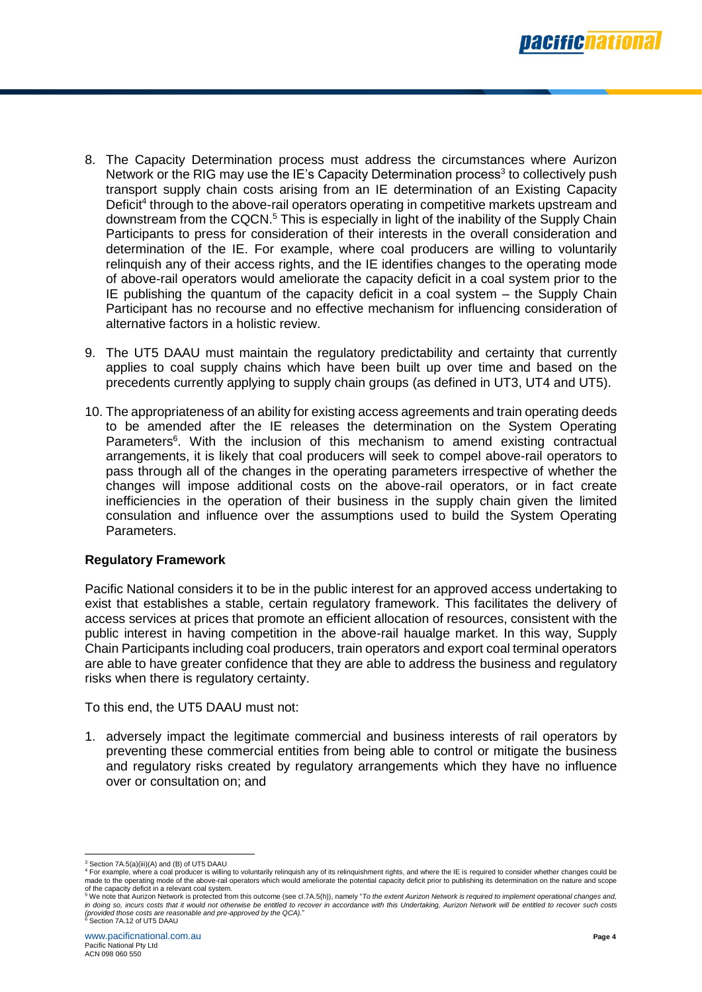

- 8. The Capacity Determination process must address the circumstances where Aurizon Network or the RIG may use the IE's Capacity Determination process<sup>3</sup> to collectively push transport supply chain costs arising from an IE determination of an Existing Capacity Deficit<sup>4</sup> through to the above-rail operators operating in competitive markets upstream and downstream from the CQCN.<sup>5</sup> This is especially in light of the inability of the Supply Chain Participants to press for consideration of their interests in the overall consideration and determination of the IE. For example, where coal producers are willing to voluntarily relinquish any of their access rights, and the IE identifies changes to the operating mode of above-rail operators would ameliorate the capacity deficit in a coal system prior to the IE publishing the quantum of the capacity deficit in a coal system – the Supply Chain Participant has no recourse and no effective mechanism for influencing consideration of alternative factors in a holistic review.
- 9. The UT5 DAAU must maintain the regulatory predictability and certainty that currently applies to coal supply chains which have been built up over time and based on the precedents currently applying to supply chain groups (as defined in UT3, UT4 and UT5).
- 10. The appropriateness of an ability for existing access agreements and train operating deeds to be amended after the IE releases the determination on the System Operating Parameters<sup>6</sup>. With the inclusion of this mechanism to amend existing contractual arrangements, it is likely that coal producers will seek to compel above-rail operators to pass through all of the changes in the operating parameters irrespective of whether the changes will impose additional costs on the above-rail operators, or in fact create inefficiencies in the operation of their business in the supply chain given the limited consulation and influence over the assumptions used to build the System Operating Parameters.

### **Regulatory Framework**

Pacific National considers it to be in the public interest for an approved access undertaking to exist that establishes a stable, certain regulatory framework. This facilitates the delivery of access services at prices that promote an efficient allocation of resources, consistent with the public interest in having competition in the above-rail haualge market. In this way, Supply Chain Participants including coal producers, train operators and export coal terminal operators are able to have greater confidence that they are able to address the business and regulatory risks when there is regulatory certainty.

To this end, the UT5 DAAU must not:

1. adversely impact the legitimate commercial and business interests of rail operators by preventing these commercial entities from being able to control or mitigate the business and regulatory risks created by regulatory arrangements which they have no influence over or consultation on; and

 <sup>3</sup> Section 7A.5(a)(iii)(A) and (B) of UT5 DAAU

<sup>4</sup> For example, where a coal producer is willing to voluntarily relinquish any of its relinquishment rights, and where the IE is required to consider whether changes could be made to the operating mode of the above-rail operators which would ameliorate the potential capacity deficit prior to publishing its determination on the nature and scope of the capacity deficit in a relevant coal system.<br><sup>5</sup> We note that Aurizon Network is protected from this outcome (see cl.7A.5(h)), namely "*To the extent Aurizon Network is required to implement operational changes and,* 

in doing so, incurs costs that it would not otherwise be entitled to recover in accordance with this Undertaking, Aurizon Network will be entitled to recover such costs<br>(provided those costs are reasonable and pre-approved